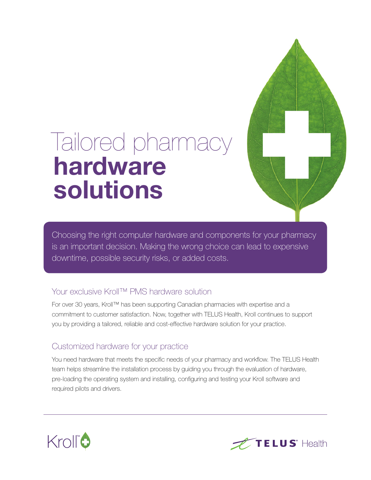# Tailored pharmacy hardware solutions

Choosing the right computer hardware and components for your pharmacy is an important decision. Making the wrong choice can lead to expensive downtime, possible security risks, or added costs.

## Your exclusive Kroll™ PMS hardware solution

For over 30 years, Kroll™ has been supporting Canadian pharmacies with expertise and a commitment to customer satisfaction. Now, together with TELUS Health, Kroll continues to support you by providing a tailored, reliable and cost-effective hardware solution for your practice.

## Customized hardware for your practice

You need hardware that meets the specific needs of your pharmacy and workflow. The TELUS Health team helps streamline the installation process by guiding you through the evaluation of hardware, pre-loading the operating system and installing, configuring and testing your Kroll software and required pilots and drivers.